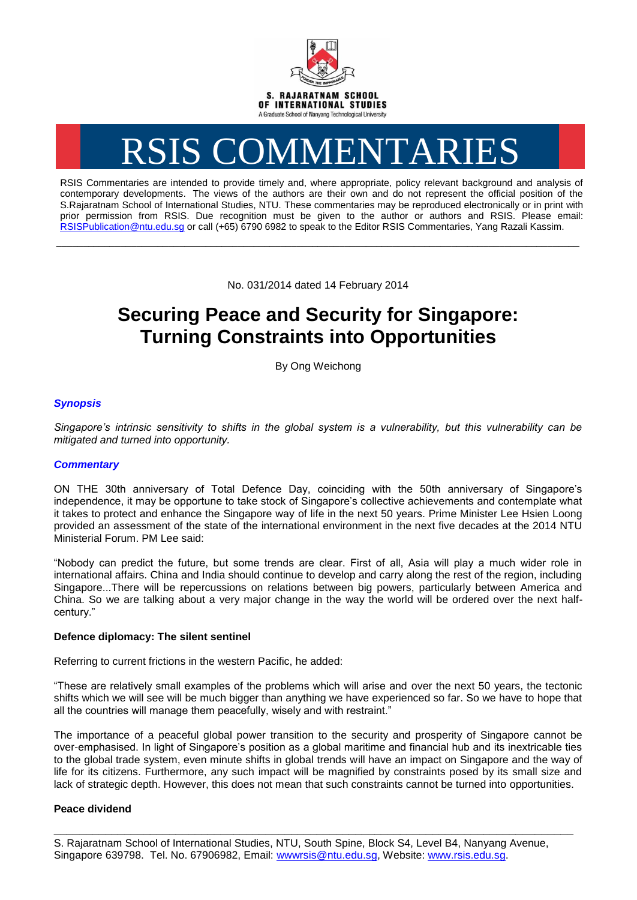

# RSIS COMMENTARIES

RSIS Commentaries are intended to provide timely and, where appropriate, policy relevant background and analysis of contemporary developments. The views of the authors are their own and do not represent the official position of the S.Rajaratnam School of International Studies, NTU. These commentaries may be reproduced electronically or in print with prior permission from RSIS. Due recognition must be given to the author or authors and RSIS. Please email: [RSISPublication@ntu.edu.sg](mailto:RSISPublication@ntu.edu.sg) or call (+65) 6790 6982 to speak to the Editor RSIS Commentaries, Yang Razali Kassim.

No. 031/2014 dated 14 February 2014

**\_\_\_\_\_\_\_\_\_\_\_\_\_\_\_\_\_\_\_\_\_\_\_\_\_\_\_\_\_\_\_\_\_\_\_\_\_\_\_\_\_\_\_\_\_\_\_\_\_\_\_\_\_\_\_\_\_\_\_\_\_\_\_\_\_\_\_\_\_\_\_\_\_\_\_\_\_\_\_\_\_\_\_\_\_\_\_\_\_\_\_\_\_\_\_\_\_\_**

# **Securing Peace and Security for Singapore: Turning Constraints into Opportunities**

By Ong Weichong

# *Synopsis*

*Singapore's intrinsic sensitivity to shifts in the global system is a vulnerability, but this vulnerability can be mitigated and turned into opportunity.*

## *Commentary*

ON THE 30th anniversary of Total Defence Day, coinciding with the 50th anniversary of Singapore's independence, it may be opportune to take stock of Singapore's collective achievements and contemplate what it takes to protect and enhance the Singapore way of life in the next 50 years. Prime Minister Lee Hsien Loong provided an assessment of the state of the international environment in the next five decades at the 2014 NTU Ministerial Forum. PM Lee said:

"Nobody can predict the future, but some trends are clear. First of all, Asia will play a much wider role in international affairs. China and India should continue to develop and carry along the rest of the region, including Singapore...There will be repercussions on relations between big powers, particularly between America and China. So we are talking about a very major change in the way the world will be ordered over the next halfcentury."

### **Defence diplomacy: The silent sentinel**

Referring to current frictions in the western Pacific, he added:

"These are relatively small examples of the problems which will arise and over the next 50 years, the tectonic shifts which we will see will be much bigger than anything we have experienced so far. So we have to hope that all the countries will manage them peacefully, wisely and with restraint."

The importance of a peaceful global power transition to the security and prosperity of Singapore cannot be over-emphasised. In light of Singapore's position as a global maritime and financial hub and its inextricable ties to the global trade system, even minute shifts in global trends will have an impact on Singapore and the way of life for its citizens. Furthermore, any such impact will be magnified by constraints posed by its small size and lack of strategic depth. However, this does not mean that such constraints cannot be turned into opportunities.

#### **Peace dividend**

\_\_\_\_\_\_\_\_\_\_\_\_\_\_\_\_\_\_\_\_\_\_\_\_\_\_\_\_\_\_\_\_\_\_\_\_\_\_\_\_\_\_\_\_\_\_\_\_\_\_\_\_\_\_\_\_\_\_\_\_\_\_\_\_\_\_\_\_\_\_\_\_\_\_\_\_\_\_\_\_\_

S. Rajaratnam School of International Studies, NTU, South Spine, Block S4, Level B4, Nanyang Avenue, Singapore 639798. Tel. No. 67906982, Email: [wwwrsis@ntu.edu.sg,](mailto:wwwrsis@ntu.edu.sg) Website: [www.rsis.edu.sg.](http://www.rsis.edu.sg/)